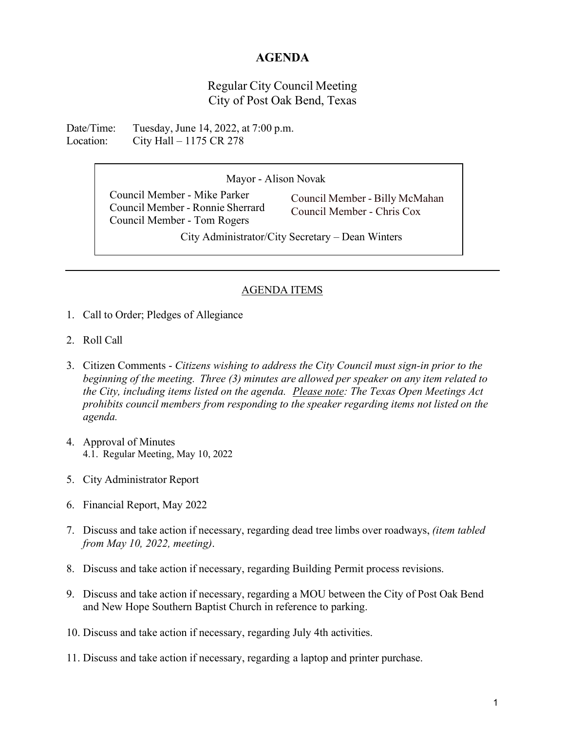## **AGENDA**

Regular City Council Meeting City of Post Oak Bend, Texas

Date/Time: Tuesday, June 14, 2022, at 7:00 p.m. Location: City Hall – 1175 CR 278

Mayor - Alison Novak

Council Member - Mike Parker Council Member - Ronnie Sherrard Council Member - Tom Rogers

Council Member - Billy McMahan Council Member - Chris Cox

City Administrator/City Secretary – Dean Winters

## AGENDA ITEMS

- 1. Call to Order; Pledges of Allegiance
- 2. Roll Call
- 3. Citizen Comments *Citizens wishing to address the City Council must sign-in prior to the beginning of the meeting. Three (3) minutes are allowed per speaker on any item related to the City, including items listed on the agenda. Please note: The Texas Open Meetings Act prohibits council members from responding to the speaker regarding items not listed on the agenda.*
- 4. Approval of Minutes 4.1. Regular Meeting, May 10, 2022
- 5. City Administrator Report
- 6. Financial Report, May 2022
- 7. Discuss and take action if necessary, regarding dead tree limbs over roadways, *(item tabled from May 10, 2022, meeting)*.
- 8. Discuss and take action if necessary, regarding Building Permit process revisions.
- 9. Discuss and take action if necessary, regarding a MOU between the City of Post Oak Bend and New Hope Southern Baptist Church in reference to parking.
- 10. Discuss and take action if necessary, regarding July 4th activities.
- 11. Discuss and take action if necessary, regarding a laptop and printer purchase.